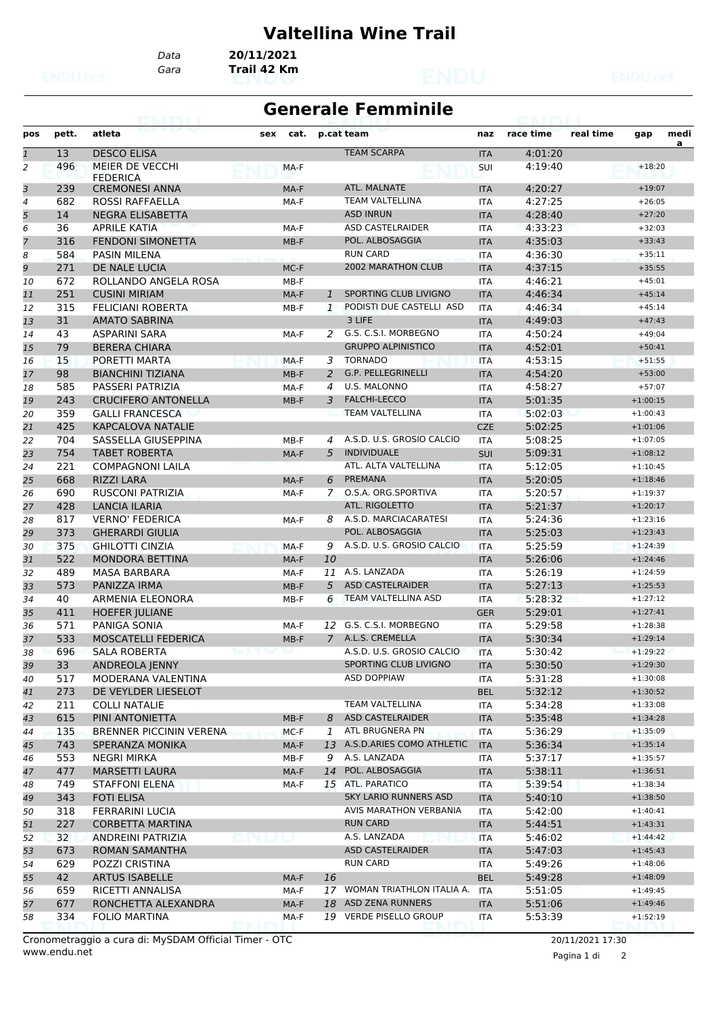## **Valtellina Wine Trail**

*Gara* **Trail 42 Km** *Data* **20/11/2021**

## **Generale Femminile**

| pos            | pett. | atleta                             | sex   | cat.   |                | p.cat team                   | naz        | race time | real time | gap        | medi |
|----------------|-------|------------------------------------|-------|--------|----------------|------------------------------|------------|-----------|-----------|------------|------|
| $\mathbf{1}$   | 13    | <b>DESCO ELISA</b>                 |       |        |                | <b>TEAM SCARPA</b>           | <b>ITA</b> | 4:01:20   |           |            | a    |
| $\overline{a}$ | 496   | MEIER DE VECCHI<br><b>FEDERICA</b> |       | MA-F   |                |                              | SUI        | 4:19:40   |           | $+18:20$   |      |
| 3              | 239   | <b>CREMONESI ANNA</b>              |       | MA-F   |                | ATL. MALNATE                 | <b>ITA</b> | 4:20:27   |           | $+19:07$   |      |
| 4              | 682   | <b>ROSSI RAFFAELLA</b>             |       | MA-F   |                | <b>TEAM VALTELLINA</b>       | <b>ITA</b> | 4:27:25   |           | $+26:05$   |      |
| 5              | 14    | NEGRA ELISABETTA                   |       |        |                | <b>ASD INRUN</b>             | <b>ITA</b> | 4:28:40   |           | $+27:20$   |      |
| 6              | 36    | <b>APRILE KATIA</b>                |       | MA-F   |                | <b>ASD CASTELRAIDER</b>      | <b>ITA</b> | 4:33:23   |           | $+32:03$   |      |
| $\overline{7}$ | 316   | <b>FENDONI SIMONETTA</b>           |       | $MB-F$ |                | POL. ALBOSAGGIA              | <b>ITA</b> | 4:35:03   |           | $+33:43$   |      |
| 8              | 584   | <b>PASIN MILENA</b>                |       |        |                | <b>RUN CARD</b>              | <b>ITA</b> | 4:36:30   |           | $+35:11$   |      |
| 9              | 271   | DE NALE LUCIA                      |       | MC-F   |                | <b>2002 MARATHON CLUB</b>    | <b>ITA</b> | 4:37:15   |           | $+35:55$   |      |
| 10             | 672   | ROLLANDO ANGELA ROSA               |       | MB-F   |                |                              | <b>ITA</b> | 4:46:21   |           | $+45:01$   |      |
| 11             | 251   | <b>CUSINI MIRIAM</b>               |       | MA-F   | $\mathbf{1}$   | SPORTING CLUB LIVIGNO        | <b>ITA</b> | 4:46:34   |           | $+45:14$   |      |
| 12             | 315   | <b>FELICIANI ROBERTA</b>           |       | MB-F   | 1              | PODISTI DUE CASTELLI ASD     | <b>ITA</b> | 4:46:34   |           | $+45:14$   |      |
| 13             | 31    | <b>AMATO SABRINA</b>               |       |        |                | 3 LIFE                       | <b>ITA</b> | 4:49:03   |           | $+47:43$   |      |
| 14             | 43    | <b>ASPARINI SARA</b>               |       | MA-F   | 2              | G.S. C.S.I. MORBEGNO         | <b>ITA</b> | 4:50:24   |           | $+49:04$   |      |
| 15             | 79    | <b>BERERA CHIARA</b>               |       |        |                | <b>GRUPPO ALPINISTICO</b>    | <b>ITA</b> | 4:52:01   |           | $+50:41$   |      |
| 16             | 15    | PORETTI MARTA                      |       | MA-F   | 3              | <b>TORNADO</b>               | <b>ITA</b> | 4:53:15   |           | $+51:55$   |      |
| 17             | 98    | <b>BIANCHINI TIZIANA</b>           |       | $MB-F$ | 2              | G.P. PELLEGRINELLI           | <b>ITA</b> | 4:54:20   |           | $+53:00$   |      |
| 18             | 585   | PASSERI PATRIZIA                   |       | MA-F   | 4              | U.S. MALONNO                 | <b>ITA</b> | 4:58:27   |           | $+57:07$   |      |
| 19             | 243   | <b>CRUCIFERO ANTONELLA</b>         |       | MB-F   | 3              | <b>FALCHI-LECCO</b>          | <b>ITA</b> | 5:01:35   |           | $+1:00:15$ |      |
| 20             | 359   | <b>GALLI FRANCESCA</b>             |       |        |                | <b>TEAM VALTELLINA</b>       | <b>ITA</b> | 5:02:03   |           | $+1:00:43$ |      |
| 21             | 425   | <b>KAPCALOVA NATALIE</b>           |       |        |                |                              | <b>CZE</b> | 5:02:25   |           | $+1:01:06$ |      |
| 22             | 704   | SASSELLA GIUSEPPINA                |       | MB-F   | $\overline{a}$ | A.S.D. U.S. GROSIO CALCIO    | <b>ITA</b> | 5:08:25   |           | $+1:07:05$ |      |
| 23             | 754   | <b>TABET ROBERTA</b>               |       | MA-F   | 5              | <b>INDIVIDUALE</b>           | <b>SUI</b> | 5:09:31   |           | $+1:08:12$ |      |
| 24             | 221   | <b>COMPAGNONI LAILA</b>            |       |        |                | ATL. ALTA VALTELLINA         | <b>ITA</b> | 5:12:05   |           | $+1:10:45$ |      |
| 25             | 668   | <b>RIZZI LARA</b>                  |       | MA-F   | 6              | <b>PREMANA</b>               | <b>ITA</b> | 5:20:05   |           | $+1:18:46$ |      |
| 26             | 690   | <b>RUSCONI PATRIZIA</b>            |       | MA-F   | 7              | O.S.A. ORG.SPORTIVA          | <b>ITA</b> | 5:20:57   |           | $+1:19:37$ |      |
| 27             | 428   | <b>LANCIA ILARIA</b>               |       |        |                | ATL. RIGOLETTO               | <b>ITA</b> | 5:21:37   |           | $+1:20:17$ |      |
| 28             | 817   | <b>VERNO' FEDERICA</b>             |       | MA-F   | 8              | A.S.D. MARCIACARATESI        | <b>ITA</b> | 5:24:36   |           | $+1:23:16$ |      |
| 29             | 373   | <b>GHERARDI GIULIA</b>             |       |        |                | POL. ALBOSAGGIA              | <b>ITA</b> | 5:25:03   |           | $+1:23:43$ |      |
| 30             | 375   | <b>GHILOTTI CINZIA</b>             |       | MA-F   | 9              | A.S.D. U.S. GROSIO CALCIO    | <b>ITA</b> | 5:25:59   |           | $+1:24:39$ |      |
| 31             | 522   | <b>MONDORA BETTINA</b>             |       | MA-F   | 10             |                              | <b>ITA</b> | 5:26:06   |           | $+1:24:46$ |      |
| 32             | 489   | MASA BARBARA                       |       | MA-F   | 11             | A.S. LANZADA                 | <b>ITA</b> | 5:26:19   |           | $+1:24:59$ |      |
| 33             | 573   | PANIZZA IRMA                       |       | MB-F   | 5              | <b>ASD CASTELRAIDER</b>      | <b>ITA</b> | 5:27:13   |           | $+1:25:53$ |      |
| 34             | 40    | <b>ARMENIA ELEONORA</b>            |       | MB-F   | 6              | TEAM VALTELLINA ASD          | <b>ITA</b> | 5:28:32   |           | $+1:27:12$ |      |
| 35             | 411   | <b>HOEFER JULIANE</b>              |       |        |                |                              | <b>GER</b> | 5:29:01   |           | $+1:27:41$ |      |
| 36             | 571   | <b>PANIGA SONIA</b>                |       | MA-F   | 12             | G.S. C.S.I. MORBEGNO         | <b>ITA</b> | 5:29:58   |           | $+1:28:38$ |      |
| 37             | 533   | <b>MOSCATELLI FEDERICA</b>         |       | $MB-F$ | $\overline{7}$ | A.L.S. CREMELLA              | <b>ITA</b> | 5:30:34   |           | $+1:29:14$ |      |
| 38             | 696   | <b>SALA ROBERTA</b>                |       |        |                | A.S.D. U.S. GROSIO CALCIO    | <b>ITA</b> | 5:30:42   |           | $+1:29:22$ |      |
| 39             | 33    | ANDREOLA JENNY                     |       |        |                | SPORTING CLUB LIVIGNO        | <b>ITA</b> | 5:30:50   |           | $+1:29:30$ |      |
| 40             | 517   | MODERANA VALENTINA                 |       |        |                | <b>ASD DOPPIAW</b>           | ITA        | 5:31:28   |           | $+1:30:08$ |      |
| 41             | 273   | DE VEYLDER LIESELOT                |       |        |                |                              | <b>BEL</b> | 5:32:12   |           | $+1:30:52$ |      |
| 42             | 211   | <b>COLLI NATALIE</b>               |       |        |                | TEAM VALTELLINA              | ITA        | 5:34:28   |           | $+1:33:08$ |      |
| 43             | 615   | PINI ANTONIETTA                    |       | MB-F   | 8              | <b>ASD CASTELRAIDER</b>      | <b>ITA</b> | 5:35:48   |           | $+1:34:28$ |      |
| 44             | 135   | <b>BRENNER PICCININ VERENA</b>     |       | $MC-F$ | 1              | ATL BRUGNERA PN              | ITA        | 5:36:29   |           | $+1:35:09$ |      |
| 45             | 743   | SPERANZA MONIKA                    |       | MA-F   | 13             | A.S.D.ARIES COMO ATHLETIC    | <b>ITA</b> | 5:36:34   |           | $+1:35:14$ |      |
| 46             | 553   | NEGRI MIRKA                        |       | MB-F   | 9              | A.S. LANZADA                 | ITA        | 5:37:17   |           | $+1:35:57$ |      |
| 47             | 477   | <b>MARSETTI LAURA</b>              |       | MA-F   | 14             | POL. ALBOSAGGIA              | <b>ITA</b> | 5:38:11   |           | $+1:36:51$ |      |
| 48             | 749   | <b>STAFFONI ELENA</b>              |       | MA-F   |                | 15 ATL. PARATICO             | ITA        | 5:39:54   |           | $+1:38:34$ |      |
| 49             | 343   | <b>FOTI ELISA</b>                  |       |        |                | <b>SKY LARIO RUNNERS ASD</b> | <b>ITA</b> | 5:40:10   |           | $+1:38:50$ |      |
| 50             | 318   | <b>FERRARINI LUCIA</b>             |       |        |                | AVIS MARATHON VERBANIA       | ITA        | 5:42:00   |           | $+1:40:41$ |      |
| 51             | 227   | <b>CORBETTA MARTINA</b>            |       |        |                | <b>RUN CARD</b>              | <b>ITA</b> | 5:44:51   |           | $+1:43:31$ |      |
| 52             | 32    | ANDREINI PATRIZIA                  | v lju |        |                | A.S. LANZADA                 | <b>ITA</b> | 5:46:02   |           | $+1:44:42$ |      |
| 53             | 673   | ROMAN SAMANTHA                     |       |        |                | <b>ASD CASTELRAIDER</b>      | <b>ITA</b> | 5:47:03   |           | $+1:45:43$ |      |
| 54             | 629   | POZZI CRISTINA                     |       |        |                | <b>RUN CARD</b>              | ITA        | 5:49:26   |           | $+1:48:06$ |      |
| 55             | 42    | <b>ARTUS ISABELLE</b>              |       | MA-F   | 16             |                              | <b>BEL</b> | 5:49:28   |           | $+1:48:09$ |      |
| 56             | 659   | RICETTI ANNALISA                   |       | MA-F   |                | 17 WOMAN TRIATHLON ITALIA A. | <b>ITA</b> | 5:51:05   |           | $+1:49:45$ |      |
| 57             | 677   | RONCHETTA ALEXANDRA                |       | MA-F   |                | 18 ASD ZENA RUNNERS          | <b>ITA</b> | 5:51:06   |           | $+1:49:46$ |      |
| 58             | 334   | <b>FOLIO MARTINA</b>               |       | MA-F   |                | 19 VERDE PISELLO GROUP       | ITA        | 5:53:39   |           | $+1:52:19$ |      |

www.endu.net Cronometraggio a cura di: MySDAM Official Timer - OTC 20/11/2021 17:30

Pagina 1 di 2